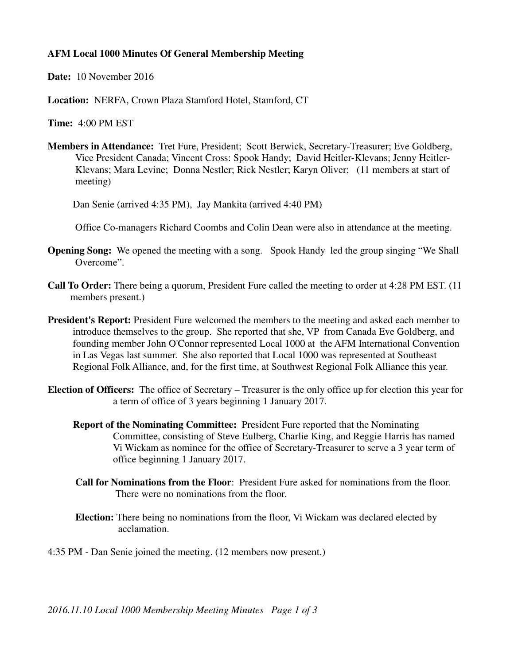## **AFM Local 1000 Minutes Of General Membership Meeting**

**Date:** 10 November 2016

**Location:** NERFA, Crown Plaza Stamford Hotel, Stamford, CT

**Time:** 4:00 PM EST

**Members in Attendance:** Tret Fure, President; Scott Berwick, Secretary-Treasurer; Eve Goldberg, Vice President Canada; Vincent Cross: Spook Handy; David Heitler-Klevans; Jenny Heitler- Klevans; Mara Levine; Donna Nestler; Rick Nestler; Karyn Oliver; (11 members at start of meeting)

Dan Senie (arrived 4:35 PM), Jay Mankita (arrived 4:40 PM)

Office Co-managers Richard Coombs and Colin Dean were also in attendance at the meeting.

- **Opening Song:** We opened the meeting with a song. Spook Handy led the group singing "We Shall Overcome".
- **Call To Order:** There being a quorum, President Fure called the meeting to order at 4:28 PM EST. (11 members present.)
- **President's Report:** President Fure welcomed the members to the meeting and asked each member to introduce themselves to the group. She reported that she, VP from Canada Eve Goldberg, and founding member John O'Connor represented Local 1000 at the AFM International Convention in Las Vegas last summer. She also reported that Local 1000 was represented at Southeast Regional Folk Alliance, and, for the first time, at Southwest Regional Folk Alliance this year.
- **Election of Officers:** The office of Secretary Treasurer is the only office up for election this year for a term of office of 3 years beginning 1 January 2017.
	- **Report of the Nominating Committee:** President Fure reported that the Nominating Committee, consisting of Steve Eulberg, Charlie King, and Reggie Harris has named Vi Wickam as nominee for the office of Secretary-Treasurer to serve a 3 year term of office beginning 1 January 2017.
	- **Call for Nominations from the Floor**: President Fure asked for nominations from the floor. There were no nominations from the floor.
	- **Election:** There being no nominations from the floor, Vi Wickam was declared elected by acclamation.

4:35 PM - Dan Senie joined the meeting. (12 members now present.)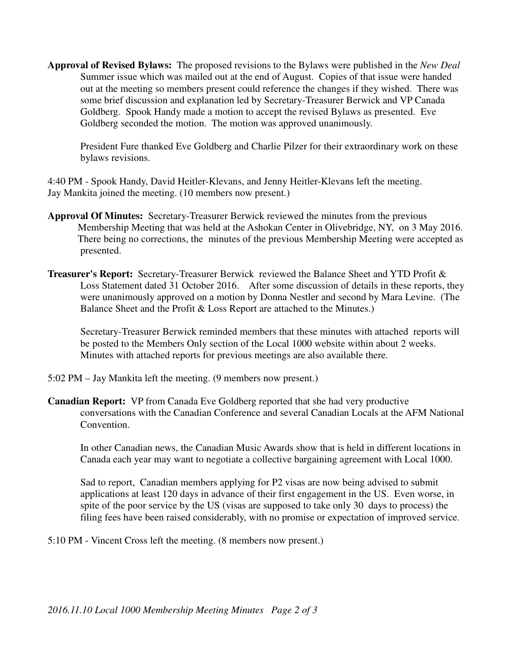**Approval of Revised Bylaws:** The proposed revisions to the Bylaws were published in the *New Deal* Summer issue which was mailed out at the end of August. Copies of that issue were handed out at the meeting so members present could reference the changes if they wished. There was some brief discussion and explanation led by Secretary-Treasurer Berwick and VP Canada Goldberg. Spook Handy made a motion to accept the revised Bylaws as presented. Eve Goldberg seconded the motion. The motion was approved unanimously.

 President Fure thanked Eve Goldberg and Charlie Pilzer for their extraordinary work on these bylaws revisions.

4:40 PM - Spook Handy, David Heitler-Klevans, and Jenny Heitler-Klevans left the meeting. Jay Mankita joined the meeting. (10 members now present.)

- **Approval Of Minutes:** Secretary-Treasurer Berwick reviewed the minutes from the previous Membership Meeting that was held at the Ashokan Center in Olivebridge, NY, on 3 May 2016. There being no corrections, the minutes of the previous Membership Meeting were accepted as presented.
- **Treasurer's Report:** Secretary-Treasurer Berwick reviewed the Balance Sheet and YTD Profit & Loss Statement dated 31 October 2016. After some discussion of details in these reports, they were unanimously approved on a motion by Donna Nestler and second by Mara Levine. (The Balance Sheet and the Profit & Loss Report are attached to the Minutes.)

 Secretary-Treasurer Berwick reminded members that these minutes with attached reports will be posted to the Members Only section of the Local 1000 website within about 2 weeks. Minutes with attached reports for previous meetings are also available there.

- 5:02 PM Jay Mankita left the meeting. (9 members now present.)
- **Canadian Report:** VP from Canada Eve Goldberg reported that she had very productive conversations with the Canadian Conference and several Canadian Locals at the AFM National Convention.

 In other Canadian news, the Canadian Music Awards show that is held in different locations in Canada each year may want to negotiate a collective bargaining agreement with Local 1000.

 Sad to report, Canadian members applying for P2 visas are now being advised to submit applications at least 120 days in advance of their first engagement in the US. Even worse, in spite of the poor service by the US (visas are supposed to take only 30 days to process) the filing fees have been raised considerably, with no promise or expectation of improved service.

5:10 PM - Vincent Cross left the meeting. (8 members now present.)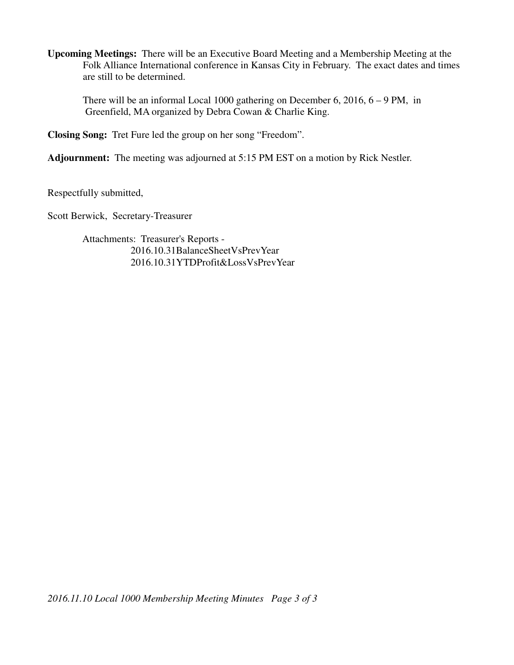**Upcoming Meetings:** There will be an Executive Board Meeting and a Membership Meeting at the Folk Alliance International conference in Kansas City in February. The exact dates and times are still to be determined.

 There will be an informal Local 1000 gathering on December 6, 2016, 6 – 9 PM, in Greenfield, MA organized by Debra Cowan & Charlie King.

**Closing Song:** Tret Fure led the group on her song "Freedom".

**Adjournment:** The meeting was adjourned at 5:15 PM EST on a motion by Rick Nestler.

Respectfully submitted,

Scott Berwick, Secretary-Treasurer

 Attachments: Treasurer's Reports - 2016.10.31BalanceSheetVsPrevYear 2016.10.31YTDProfit&LossVsPrevYear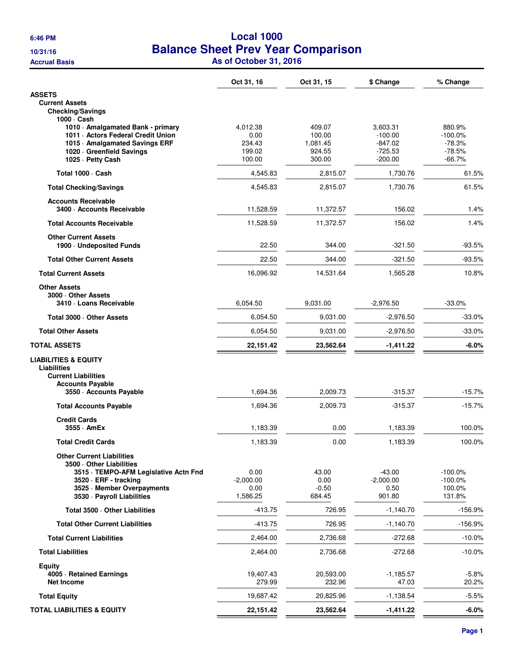## **6:46 PM Local 1000 10/31/16 Balance Sheet Prev Year Comparison Accrual Basis As of October 31, 2016**

|                                                                                                                                                                                        | Oct 31, 16                                     | Oct 31, 15                                       | \$ Change                                                  | % Change                                                 |
|----------------------------------------------------------------------------------------------------------------------------------------------------------------------------------------|------------------------------------------------|--------------------------------------------------|------------------------------------------------------------|----------------------------------------------------------|
| <b>ASSETS</b>                                                                                                                                                                          |                                                |                                                  |                                                            |                                                          |
| <b>Current Assets</b><br><b>Checking/Savings</b>                                                                                                                                       |                                                |                                                  |                                                            |                                                          |
| 1000 · Cash<br>1010 · Amalgamated Bank - primary<br>1011 - Actors Federal Credit Union<br>1015 Amalgamated Savings ERF<br>1020 Greenfield Savings<br>1025 · Petty Cash                 | 4,012.38<br>0.00<br>234.43<br>199.02<br>100.00 | 409.07<br>100.00<br>1,081.45<br>924.55<br>300.00 | 3,603.31<br>$-100.00$<br>-847.02<br>$-725.53$<br>$-200.00$ | 880.9%<br>$-100.0\%$<br>$-78.3%$<br>$-78.5%$<br>$-66.7%$ |
| Total 1000 · Cash                                                                                                                                                                      | 4,545.83                                       | 2,815.07                                         | 1,730.76                                                   | 61.5%                                                    |
| <b>Total Checking/Savings</b>                                                                                                                                                          | 4,545.83                                       | 2,815.07                                         | 1.730.76                                                   | 61.5%                                                    |
| <b>Accounts Receivable</b><br>3400 - Accounts Receivable                                                                                                                               | 11,528.59                                      | 11,372.57                                        | 156.02                                                     | 1.4%                                                     |
| <b>Total Accounts Receivable</b>                                                                                                                                                       | 11,528.59                                      | 11,372.57                                        | 156.02                                                     | 1.4%                                                     |
| <b>Other Current Assets</b><br>1900 - Undeposited Funds                                                                                                                                | 22.50                                          | 344.00                                           | $-321.50$                                                  | $-93.5%$                                                 |
| <b>Total Other Current Assets</b>                                                                                                                                                      | 22.50                                          | 344.00                                           | $-321.50$                                                  | $-93.5%$                                                 |
| <b>Total Current Assets</b>                                                                                                                                                            | 16,096.92                                      | 14,531.64                                        | 1,565.28                                                   | 10.8%                                                    |
| <b>Other Assets</b><br>3000 Other Assets<br>3410 - Loans Receivable                                                                                                                    | 6,054.50                                       | 9,031.00                                         | $-2.976.50$                                                | $-33.0%$                                                 |
| Total 3000 - Other Assets                                                                                                                                                              | 6,054.50                                       | 9,031.00                                         | $-2,976.50$                                                | $-33.0%$                                                 |
| <b>Total Other Assets</b>                                                                                                                                                              | 6,054.50                                       | 9,031.00                                         | $-2,976.50$                                                | $-33.0\%$                                                |
| <b>TOTAL ASSETS</b>                                                                                                                                                                    | 22,151.42                                      | 23,562.64                                        | $-1,411.22$                                                | -6.0%                                                    |
| <b>LIABILITIES &amp; EQUITY</b><br><b>Liabilities</b><br><b>Current Liabilities</b><br><b>Accounts Payable</b><br>3550 Accounts Payable                                                | 1,694.36                                       | 2,009.73                                         | $-315.37$                                                  | $-15.7%$                                                 |
| <b>Total Accounts Payable</b>                                                                                                                                                          | 1,694.36                                       | 2,009.73                                         | $-315.37$                                                  | $-15.7%$                                                 |
| <b>Credit Cards</b><br>3555 AmEx                                                                                                                                                       | 1,183.39                                       | 0.00                                             | 1,183.39                                                   | 100.0%                                                   |
| <b>Total Credit Cards</b>                                                                                                                                                              | 1,183.39                                       | 0.00                                             | 1,183.39                                                   | 100.0%                                                   |
| <b>Other Current Liabilities</b><br>3500 Other Liabilities<br>3515 · TEMPO-AFM Legislative Actn Fnd<br>3520 · ERF - tracking<br>3525 Member Overpayments<br>3530 - Payroll Liabilities | 0.00<br>$-2,000.00$<br>0.00<br>1,586.25        | 43.00<br>0.00<br>$-0.50$<br>684.45               | $-43.00$<br>$-2,000.00$<br>0.50<br>901.80                  | $-100.0%$<br>$-100.0%$<br>100.0%<br>131.8%               |
| Total 3500 · Other Liabilities                                                                                                                                                         | $-413.75$                                      | 726.95                                           | $-1,140.70$                                                | $-156.9%$                                                |
| <b>Total Other Current Liabilities</b>                                                                                                                                                 | $-413.75$                                      | 726.95                                           | $-1,140.70$                                                | $-156.9%$                                                |
| <b>Total Current Liabilities</b>                                                                                                                                                       | 2,464.00                                       | 2,736.68                                         | $-272.68$                                                  | $-10.0%$                                                 |
| <b>Total Liabilities</b>                                                                                                                                                               | 2,464.00                                       | 2,736.68                                         | $-272.68$                                                  | $-10.0%$                                                 |
| Equity<br>4005 · Retained Earnings<br><b>Net Income</b>                                                                                                                                | 19,407.43<br>279.99                            | 20,593.00<br>232.96                              | $-1,185.57$<br>47.03                                       | $-5.8%$<br>20.2%                                         |
| <b>Total Equity</b>                                                                                                                                                                    | 19,687.42                                      | 20,825.96                                        | $-1,138.54$                                                | $-5.5%$                                                  |
| <b>TOTAL LIABILITIES &amp; EQUITY</b>                                                                                                                                                  | 22, 151.42                                     | 23,562.64                                        | $-1,411.22$                                                | $-6.0%$                                                  |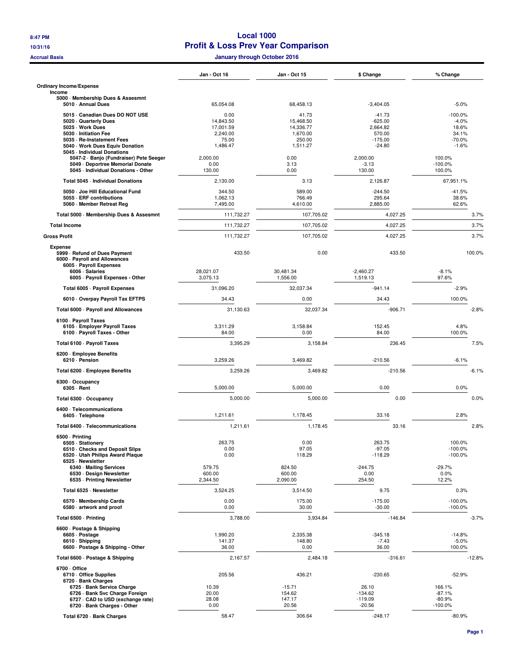## **8:47 PM Local 1000 10/31/16 Profit & Loss Prev Year Comparison**

**Accrual Basis January through October 2016**

|                                                                                                                    | Jan - Oct 16                | <b>Jan - Oct 15</b>        | \$ Change                          | % Change                          |
|--------------------------------------------------------------------------------------------------------------------|-----------------------------|----------------------------|------------------------------------|-----------------------------------|
| <b>Ordinary Income/Expense</b>                                                                                     |                             |                            |                                    |                                   |
| Income<br>5000 Membership Dues & Assesmnt                                                                          |                             |                            |                                    |                                   |
| 5010 Annual Dues                                                                                                   | 65,054.08                   | 68,458.13                  | $-3,404.05$                        | $-5.0%$                           |
| 5015 Canadian Dues DO NOT USE<br>5020 Quarterly Dues                                                               | 0.00<br>14,843.50           | 41.73<br>15,468.50         | $-41.73$<br>$-625.00$              | $-100.0%$<br>$-4.0%$              |
| 5025 · Work Dues<br>5030 - Initiation Fee                                                                          | 17,001.59<br>2,240.00       | 14,336.77<br>1,670.00      | 2,664.82<br>570.00                 | 18.6%<br>34.1%                    |
| 5035 - Re-Instatement Fees                                                                                         | 75.00                       | 250.00                     | $-175.00$                          | $-70.0\%$                         |
| 5040 · Work Dues Equiv Donation<br>5045 - Individual Donations                                                     | 1,486.47                    | 1,511.27                   | $-24.80$                           | $-1.6%$                           |
| 5047-2 · Banjo (Fundraiser) Pete Seeger<br>5049 - Deportree Memorial Donate<br>5045 - Individual Donations - Other | 2,000.00<br>0.00<br>130.00  | 0.00<br>3.13<br>0.00       | 2.000.00<br>$-3.13$<br>130.00      | 100.0%<br>$-100.0%$<br>100.0%     |
| Total 5045 - Individual Donations                                                                                  | 2,130.00                    | 3.13                       | 2,126.87                           | 67,951.1%                         |
| 5050 Joe Hill Educational Fund                                                                                     | 344.50                      | 589.00                     | $-244.50$                          | $-41.5%$                          |
| 5055 - ERF contributions<br>5060 Member Retreat Reg                                                                | 1,062.13<br>7,495.00        | 766.49<br>4,610.00         | 295.64<br>2,885.00                 | 38.6%<br>62.6%                    |
| Total 5000 - Membership Dues & Assesmnt                                                                            | 111,732.27                  | 107,705.02                 | 4,027.25                           | 3.7%                              |
| <b>Total Income</b>                                                                                                | 111,732.27                  | 107,705.02                 | 4,027.25                           | 3.7%                              |
| <b>Gross Profit</b>                                                                                                | 111,732.27                  | 107,705.02                 | 4,027.25                           | 3.7%                              |
| <b>Expense</b>                                                                                                     |                             |                            |                                    |                                   |
| 5999 - Refund of Dues Payment<br>6000 · Payroll and Allowances<br>6005 - Payroll Expenses                          | 433.50                      | 0.00                       | 433.50                             | 100.0%                            |
| 6006 · Salaries<br>6005 - Payroll Expenses - Other                                                                 | 28,021.07<br>3.075.13       | 30,481.34<br>1,556.00      | $-2,460.27$<br>1,519.13            | $-8.1%$<br>97.6%                  |
| Total 6005 - Payroll Expenses                                                                                      | 31,096.20                   | 32,037.34                  | $-941.14$                          | $-2.9%$                           |
| 6010 Overpay Payroll Tax EFTPS                                                                                     | 34.43                       | 0.00                       | 34.43                              | 100.0%                            |
| Total 6000 · Payroll and Allowances                                                                                | 31,130.63                   | 32,037.34                  | $-906.71$                          | $-2.8%$                           |
| 6100 - Payroll Taxes<br>6105 - Employer Payroll Taxes<br>6100 - Payroll Taxes - Other                              | 3,311.29<br>84.00           | 3,158.84<br>0.00           | 152.45<br>84.00                    | 4.8%<br>100.0%                    |
| Total 6100 - Payroll Taxes                                                                                         | 3,395.29                    | 3,158.84                   | 236.45                             | 7.5%                              |
| 6200 · Employee Benefits                                                                                           |                             |                            |                                    |                                   |
| 6210 - Pension                                                                                                     | 3,259.26                    | 3,469.82                   | $-210.56$                          | $-6.1%$                           |
| Total 6200 - Employee Benefits                                                                                     | 3,259.26                    | 3,469.82                   | $-210.56$                          | $-6.1%$                           |
| 6300 · Occupancy<br>6305 - Rent                                                                                    | 5,000.00                    | 5,000.00                   | 0.00                               | 0.0%                              |
| Total 6300 · Occupancy                                                                                             | 5,000.00                    | 5,000.00                   | 0.00                               | 0.0%                              |
| 6400 · Telecommunications<br>6405 · Telephone                                                                      | 1,211.61                    | 1,178.45                   | 33.16                              | 2.8%                              |
| Total 6400 - Telecommunications                                                                                    | 1,211.61                    | 1,178.45                   | 33.16                              | 2.8%                              |
| 6500 · Printing                                                                                                    |                             |                            |                                    |                                   |
| 6505 · Stationery<br>6510 Checks and Deposit Slips<br>6520 Utah Philips Award Plaque                               | 263.75<br>0.00<br>0.00      | 0.00<br>97.05<br>118.29    | 263.75<br>$-97.05$<br>$-118.29$    | 100.0%<br>$-100.0%$<br>$-100.0%$  |
| 6525 · Newsletter<br>6340 - Mailing Services                                                                       | 579.75                      | 824.50                     | $-244.75$                          | $-29.7%$                          |
| 6530 · Design Newsletter<br>6535 - Printing Newsletter                                                             | 600.00<br>2,344.50          | 600.00<br>2,090.00         | 0.00<br>254.50                     | 0.0%<br>12.2%                     |
| Total 6525 · Newsletter                                                                                            | 3,524.25                    | 3,514.50                   | 9.75                               | 0.3%                              |
| 6570 Membership Cards<br>6580 artwork and proof                                                                    | 0.00<br>0.00                | 175.00<br>30.00            | $-175.00$<br>$-30.00$              | $-100.0%$<br>$-100.0%$            |
| Total 6500 - Printing                                                                                              | 3,788.00                    | 3,934.84                   | $-146.84$                          | $-3.7%$                           |
| 6600 · Postage & Shipping                                                                                          |                             |                            |                                    |                                   |
| 6605 - Postage<br>6610 · Shipping<br>6600 - Postage & Shipping - Other                                             | 1,990.20<br>141.37<br>36.00 | 2,335.38<br>148.80<br>0.00 | $-345.18$<br>$-7.43$<br>36.00      | $-14.8%$<br>$-5.0%$<br>100.0%     |
| Total 6600 · Postage & Shipping                                                                                    | 2,167.57                    | 2,484.18                   | $-316.61$                          | $-12.8%$                          |
| 6700 Office<br>6710 Office Supplies                                                                                | 205.56                      | 436.21                     | $-230.65$                          | $-52.9%$                          |
| 6720 · Bank Charges<br>6725 - Bank Service Charge                                                                  | 10.39                       | $-15.71$                   | 26.10                              | 166.1%                            |
| 6726 · Bank Svc Charge Foreign<br>6727 - CAD to USD (exchange rate)<br>6720 · Bank Charges - Other                 | 20.00<br>28.08<br>0.00      | 154.62<br>147.17<br>20.56  | $-134.62$<br>$-119.09$<br>$-20.56$ | $-87.1%$<br>$-80.9%$<br>$-100.0%$ |
| Total 6720 · Bank Charges                                                                                          | 58.47                       | 306.64                     | $-248.17$                          | $-80.9%$                          |